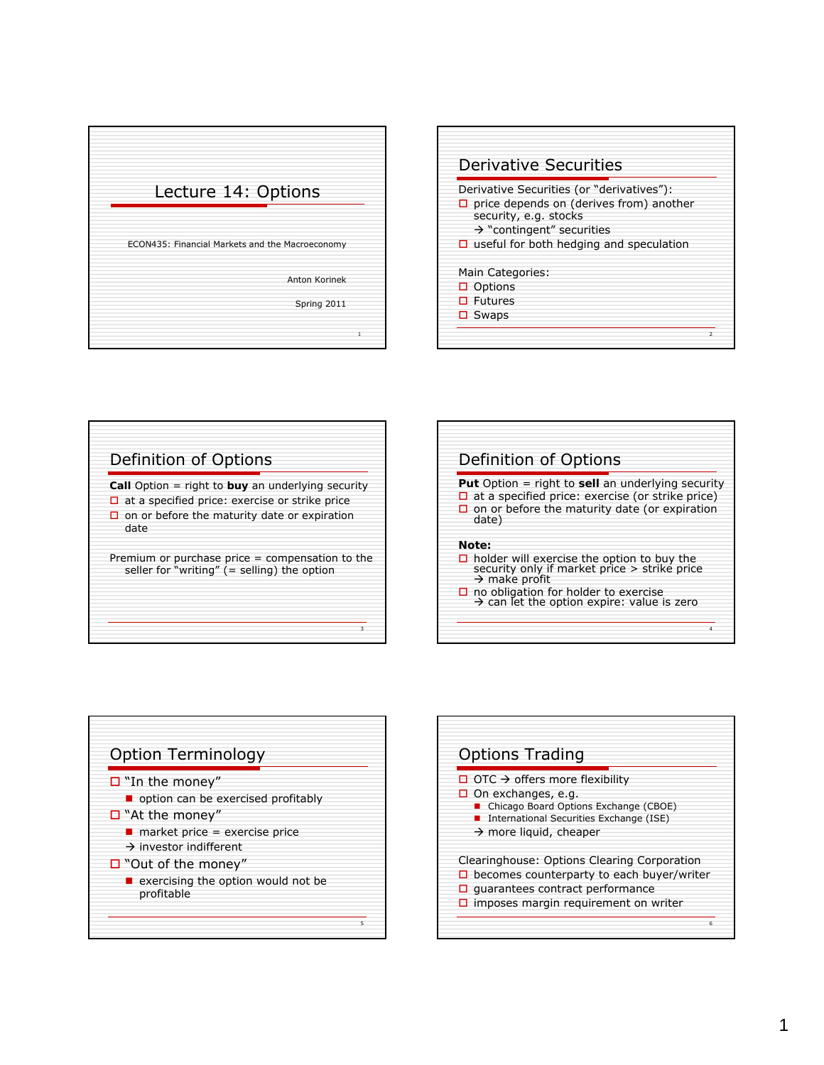









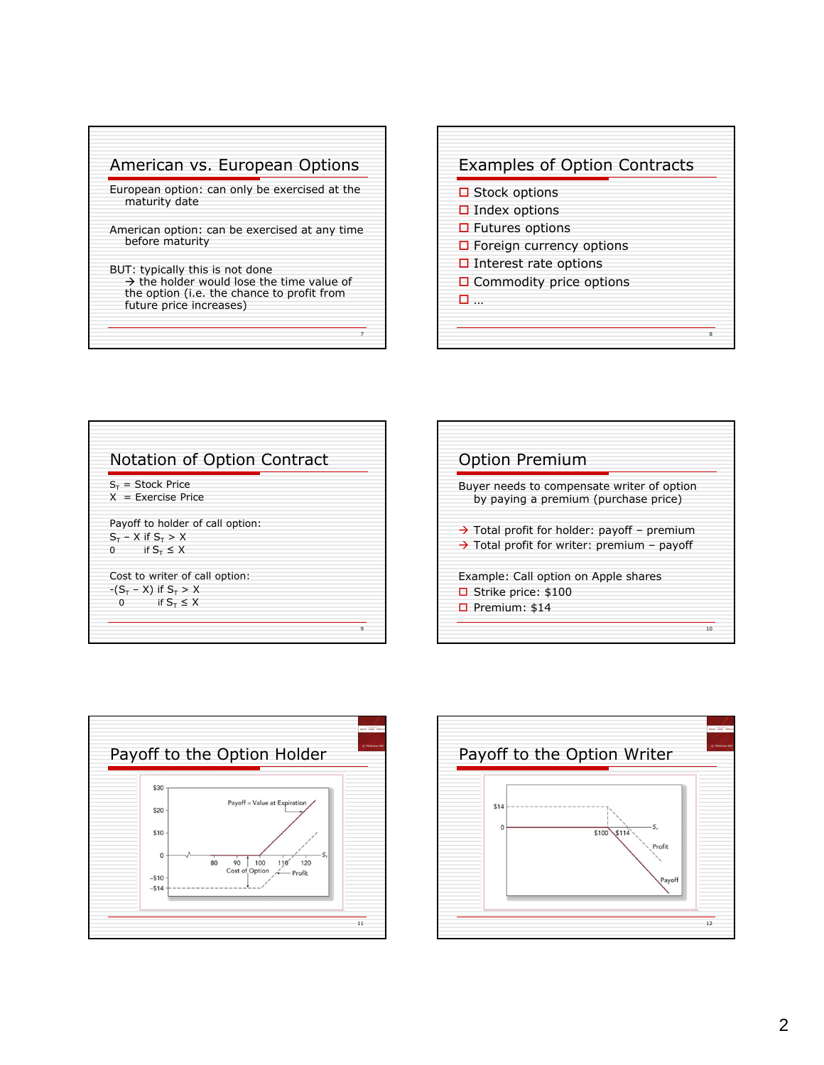



| $S_T$ = Stock Price              |  |
|----------------------------------|--|
| $X = Exercise Price$             |  |
| Payoff to holder of call option: |  |
| $S_T - X$ if $S_T > X$           |  |
| if $S_{\tau} \leq X$<br>$\Omega$ |  |
| Cost to writer of call option:   |  |
| $-(S_T - X)$ if $S_T > X$        |  |
| if $S_T \leq X$<br>O             |  |

| <b>Option Premium</b>                                                                                              |    |
|--------------------------------------------------------------------------------------------------------------------|----|
| Buyer needs to compensate writer of option<br>by paying a premium (purchase price)                                 |    |
| $\rightarrow$ Total profit for holder: payoff - premium<br>$\rightarrow$ Total profit for writer: premium – payoff |    |
| Example: Call option on Apple shares<br>$\Box$ Strike price: \$100<br>$\Box$ Premium: \$14                         |    |
|                                                                                                                    | 10 |



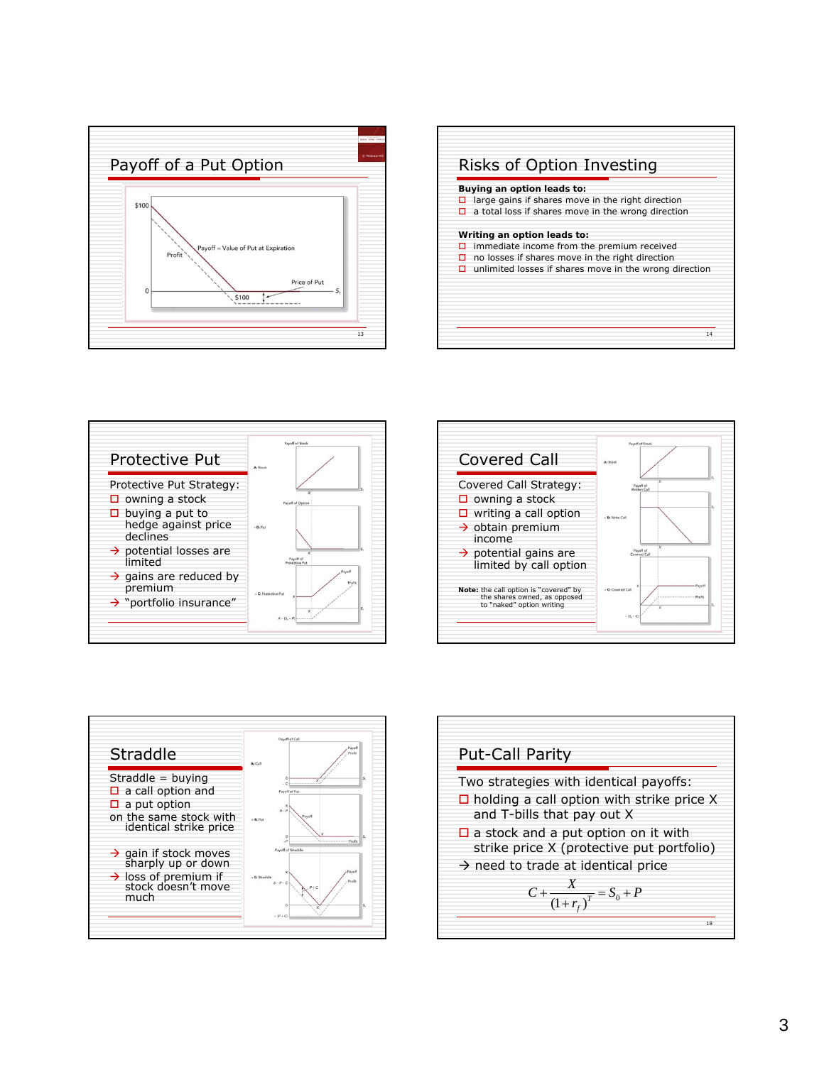